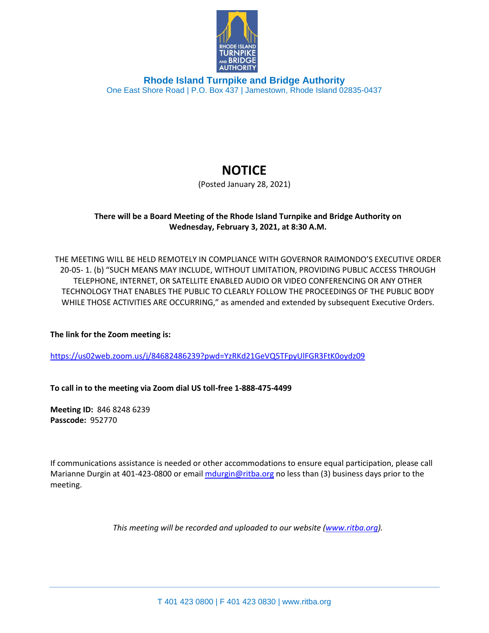

**Rhode Island Turnpike and Bridge Authority** One East Shore Road | P.O. Box 437 | Jamestown, Rhode Island 02835-0437

## **NOTICE**

(Posted January 28, 2021)

## **There will be a Board Meeting of the Rhode Island Turnpike and Bridge Authority on Wednesday, February 3, 2021, at 8:30 A.M.**

THE MEETING WILL BE HELD REMOTELY IN COMPLIANCE WITH GOVERNOR RAIMONDO'S EXECUTIVE ORDER 20-05- 1. (b) "SUCH MEANS MAY INCLUDE, WITHOUT LIMITATION, PROVIDING PUBLIC ACCESS THROUGH TELEPHONE, INTERNET, OR SATELLITE ENABLED AUDIO OR VIDEO CONFERENCING OR ANY OTHER TECHNOLOGY THAT ENABLES THE PUBLIC TO CLEARLY FOLLOW THE PROCEEDINGS OF THE PUBLIC BODY WHILE THOSE ACTIVITIES ARE OCCURRING," as amended and extended by subsequent Executive Orders.

**The link for the Zoom meeting is:**

<https://us02web.zoom.us/j/84682486239?pwd=YzRKd21GeVQ5TFpyUlFGR3FtK0oydz09>

**To call in to the meeting via Zoom dial US toll-free 1-888-475-4499**

**Meeting ID:** 846 8248 6239 **Passcode:** 952770

If communications assistance is needed or other accommodations to ensure equal participation, please call Marianne Durgin at 401-423-0800 or email [mdurgin@ritba.org](mailto:mdurgin@ritba.org) no less than (3) business days prior to the meeting.

*This meeting will be recorded and uploaded to our website [\(www.ritba.org\)](http://www.ritba.org/).*